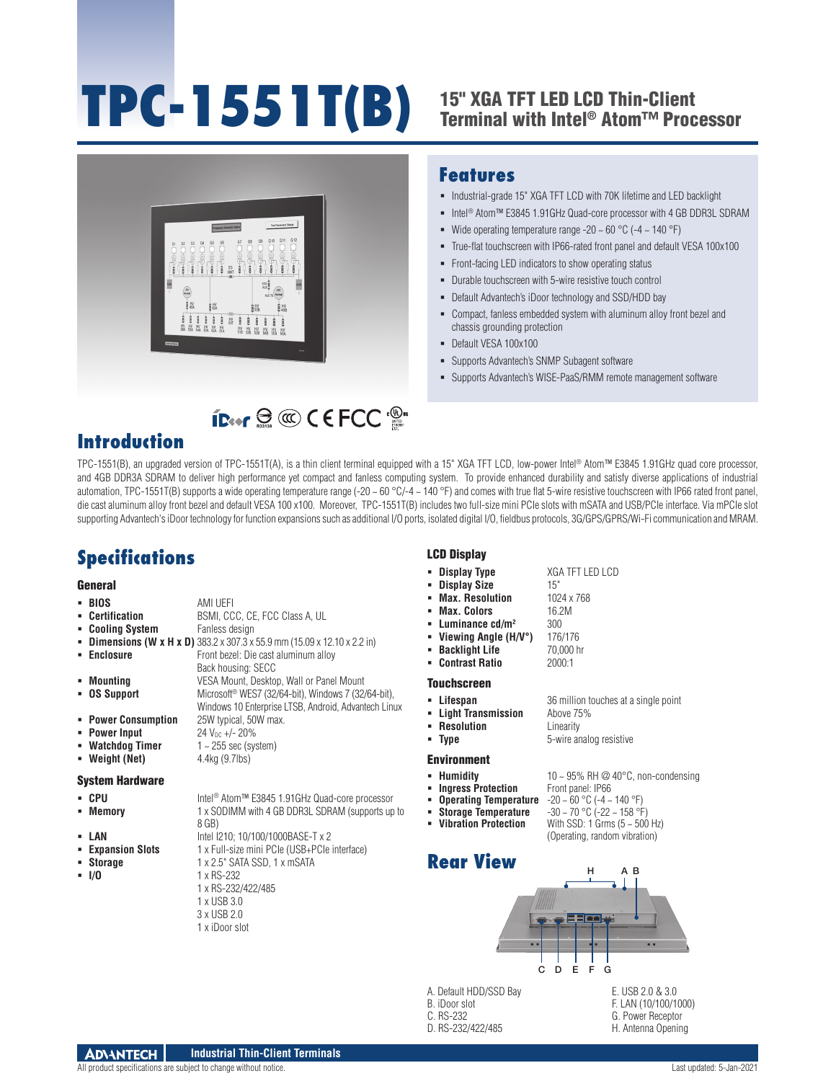# **TPC-1551T(B)**

## 15" XGA TFT LED LCD Thin-Client Terminal with Intel® Atom™ Processor



**ID** 

### **Features**

- $\blacksquare$  Industrial-grade 15" XGA TFT LCD with 70K lifetime and LED backlight
- Intel<sup>®</sup> Atom™ E3845 1.91GHz Quad-core processor with 4 GB DDR3L SDRAM
- Wide operating temperature range -20  $\sim$  60 °C (-4  $\sim$  140 °F)
- True-flat touchscreen with IP66-rated front panel and default VESA 100x100
- Front-facing LED indicators to show operating status
- Durable touchscreen with 5-wire resistive touch control
- Default Advantech's iDoor technology and SSD/HDD bay
- Compact, fanless embedded system with aluminum alloy front bezel and chassis grounding protection
- Default VESA 100x100
- Supports Advantech's SNMP Subagent software
- Supports Advantech's WISE-PaaS/RMM remote management software

## **Introduction**

TPC-1551(B), an upgraded version of TPC-1551T(A), is a thin client terminal equipped with a 15" XGA TFT LCD, low-power Intel® Atom™ E3845 1.91GHz quad core processor, and 4GB DDR3A SDRAM to deliver high performance yet compact and fanless computing system. To provide enhanced durability and satisfy diverse applications of industrial automation, TPC-1551T(B) supports a wide operating temperature range (-20 ~ 60 °C/-4 ~ 140 °F) and comes with true flat 5-wire resistive touchscreen with IP66 rated front panel, die cast aluminum alloy front bezel and default VESA 100 x100. Moreover, TPC-1551T(B) includes two full-size mini PCIe slots with mSATA and USB/PCIe interface. Via mPCIe slot supporting Advantech's iDoor technology for function expansions such as additional I/O ports, isolated digital I/O, fieldbus protocols, 3G/GPS/GPRS/Wi-Fi communication and MRAM.

## **Specifications**

#### **General**

- **BIOS** AMI UEFI<br>**BIOS Certification** BSMI, CC BSMI, CCC, CE, FCC Class A, UL
- **Cooling System** Fanless design
- **Dimensions (W x H x D)** 383.2 x 307.3 x 55.9 mm (15.09 x 12.10 x 2.2 in)
- **Enclosure Enclosure Front bezel: Die cast aluminum alloy** 
	- Back housing: SECC
- **Mounting** VESA Mount, Desktop, Wall or Panel Mount
- **OS Support** Microsoft<sup>®</sup> WES7 (32/64-bit), Windows 7 (32/64-bit), Windows 10 Enterprise LTSB, Android, Advantech Linux
- **Power Consumption** 25W typical, 50W max.
- **Power Input**  $24 V_{DC} +/- 20\%$
- **Watchdog Timer** 1 ~ 255 sec (system)
- **Weight (Net)** 4.4kg (9.7lbs)

#### System Hardware

- CPU Intel<sup>®</sup> Atom™ E3845 1.91GHz Quad-core processor
- **Memory** 1 x SODIMM with 4 GB DDR3L SDRAM (supports up to
	- 8 GB)
	-
- **LAN** Intel 1210; 10/100/1000BASE-T x 2<br>**Expansion Slots** 1 x Full-size mini PCle (USB+PCle **Expansion Slots** 1 x Full-size mini PCIe (USB+PCIe interface)
- 
- 
- **Storage** 1 x 2.5" SATA SSD, 1 x mSATA<br>**1/0** 1 x RS-232 **I/O** 1 x RS-232 1 x RS-232/422/485
	-
	- 1 x USB 3.0
	- 3 x USB 2.0
	- 1 x iDoor slot

#### LCD Display

- **Display Type** XGA TFT LED LCD
- **Display Size**
- **Max. Resolution** 1024 x 768<br>**Max. Colors** 16.2M
- **Max. Colors**
- Luminance cd/m<sup>2</sup> 300
- **Viewing Angle (H/V°)** 176/176
- **Backlight Life**
- **Contrast Ratio** 2000:1

#### Touchscreen

- **Lifespan** 36 million touches at a single point
- **Light Transmission** Above 75%
- **Resolution** Linearity
- 

#### Environment

**Ingress Protection** 

- **Operating Temperature<br>Storage Temperature**
- 
- 
- 





A. Default HDD/SSD Bay B. iDoor slot C. RS-232

D. RS-232/422/485

E. USB 2.0 & 3.0 F. LAN (10/100/1000) G. Power Receptor H. Antenna Opening

- 
- 
- 
- **Type** 5-wire analog resistive

- - -
		-
		-
		-
- 
- **Humidity 10 ~ 95% RH @ 40°C, non-condensing**<br>■ **Ingress Protection** Front panel: IP66
	-
	-
	-
- 
- - **Operating Temperature** -20 ~ 60 °C (-4 ~ 140 °F)<br> **Storage Temperature** -30 ~ 70 °C (-22 ~ 158 °F)<br> **Vibration Protection** With SSD: 1 Grms (5 ~ 500 **With SSD: 1 Grms (5 ~ 500 Hz)** 
		- (Operating, random vibration)